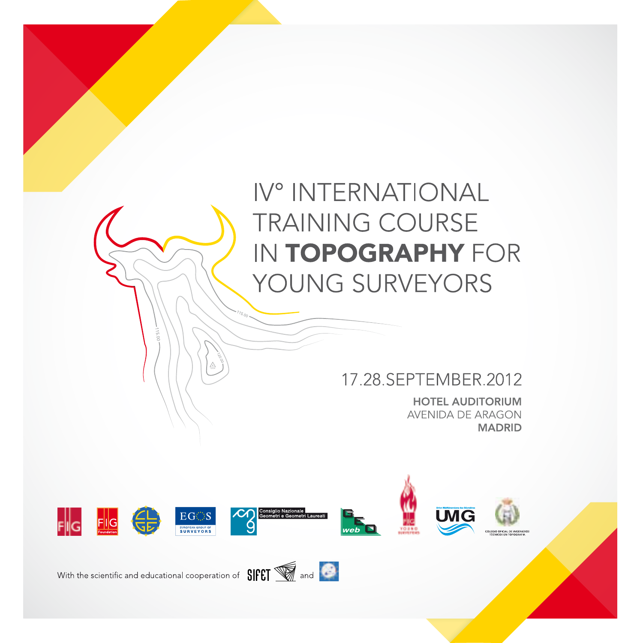## IV° INTERNATIONAL **TRAINING COURSE IN TOPOGRAPHY FOR** YOUNG SURVEYORS

#### 17.28.SEPTEMBER.2012

**HOTEL AUDITORIUM** AVENIDA DE ARAGON **MADRID** 

**UMG** 





veh

With the scientific and educational cooperation of  $SIFT$  and  $\bullet$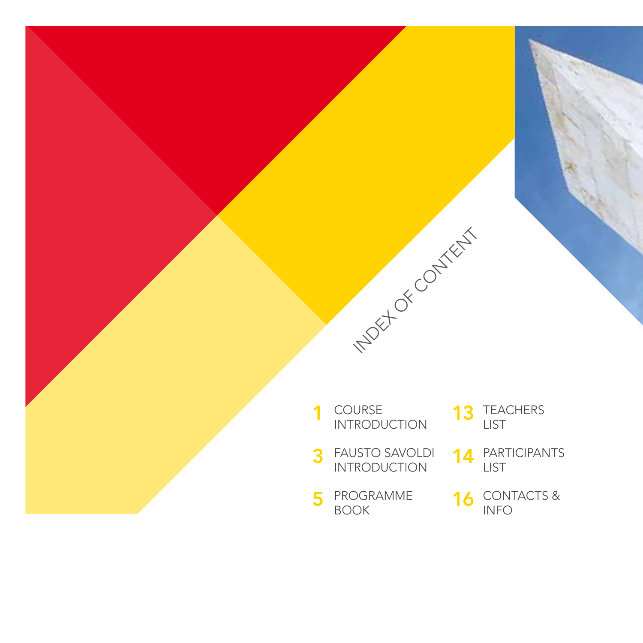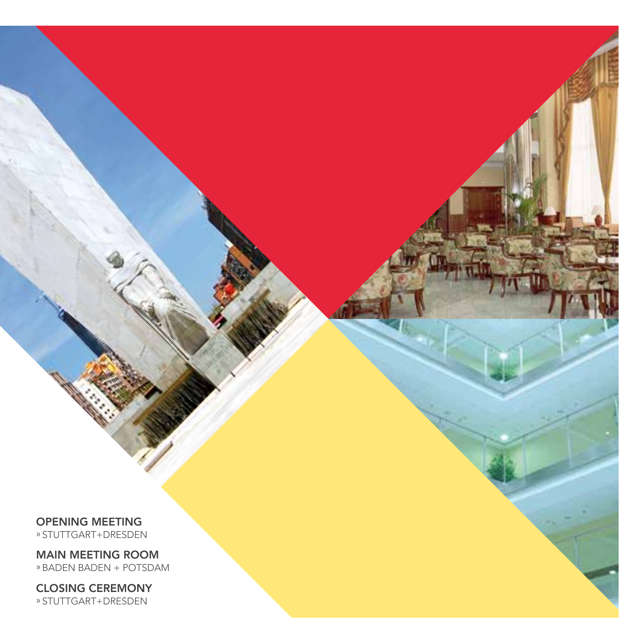OPENING MEETING

» STUTTGART+DRESDEN

MAIN MEETING ROOM »BADEN BADEN + POTSDAM

CLOSING CEREMONY » STUTTGART+DRESDEN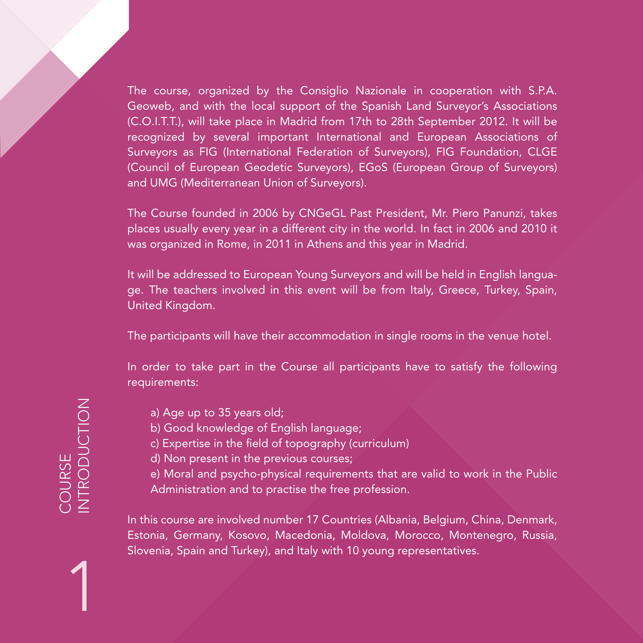The course, organized by the Consiglio Nazionale in cooperation with S.P.A. Geoweb, and with the local support of the Spanish Land Surveyor's Associations (C.O.I.T.T.), will take place in Madrid from 17th to 28th September 2012. It will be recognized by several important International and European Associations of Surveyors as FIG (International Federation of Surveyors), FIG Foundation, CLGE (Council of European Geodetic Surveyors), EGoS (European Group of Surveyors) and UMG (Mediterranean Union of Surveyors).

The Course founded in 2006 by CNGeGL Past President, Mr. Piero Panunzi, takes places usually every year in a different city in the world. In fact in 2006 and 2010 it was organized in Rome, in 2011 in Athens and this year in Madrid.

It will be addressed to European Young Surveyors and will be held in English language. The teachers involved in this event will be from Italy, Greece, Turkey, Spain, United Kingdom.

The participants will have their accommodation in single rooms in the venue hotel.

In order to take part in the Course all participants have to satisfy the following requirements:

- a) Age up to 35 years old;
- b) Good knowledge of English language;
- c) Expertise in the field of topography (curriculum)
- d) Non present in the previous courses;
- e) Moral and psycho-physical requirements that are valid to work in the Public Administration and to practise the free profession.

In this course are involved number 17 Countries (Albania, Belgium, China, Denmark, Estonia, Germany, Kosovo, Macedonia, Moldova, Morocco, Montenegro, Russia, Slovenia, Spain and Turkey), and Italy with 10 young representatives.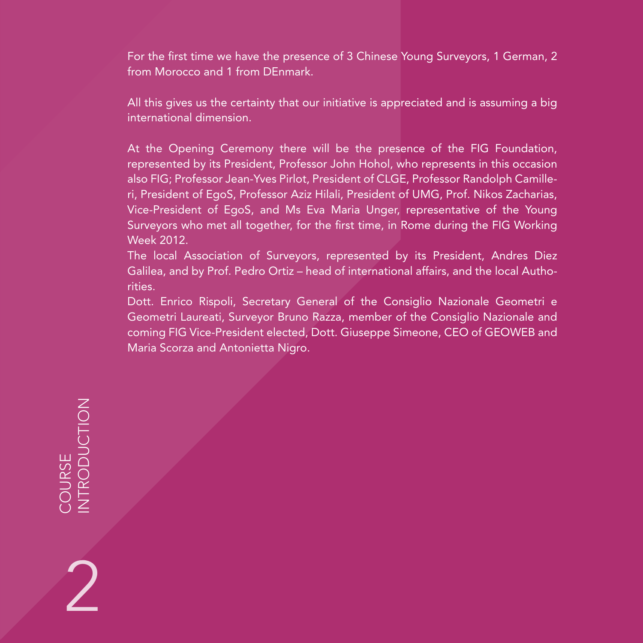For the first time we have the presence of 3 Chinese Young Surveyors, 1 German, 2 from Morocco and 1 from DEnmark.

All this gives us the certainty that our initiative is appreciated and is assuming a big international dimension.

At the Opening Ceremony there will be the presence of the FIG Foundation, represented by its President, Professor John Hohol, who represents in this occasion also FIG; Professor Jean-Yves Pirlot, President of CLGE, Professor Randolph Camilleri, President of EgoS, Professor Aziz Hilali, President of UMG, Prof. Nikos Zacharias, Vice-President of EgoS, and Ms Eva Maria Unger, representative of the Young Surveyors who met all together, for the first time, in Rome during the FIG Working Week 2012.

The local Association of Surveyors, represented by its President, Andres Diez Galilea, and by Prof. Pedro Ortiz – head of international affairs, and the local Authorities.

Dott. Enrico Rispoli, Secretary General of the Consiglio Nazionale Geometri e Geometri Laureati, Surveyor Bruno Razza, member of the Consiglio Nazionale and coming FIG Vice-President elected, Dott. Giuseppe Simeone, CEO of GEOWEB and Maria Scorza and Antonietta Nigro.

COURSE<br>NTRODUCTION INTRODUCTION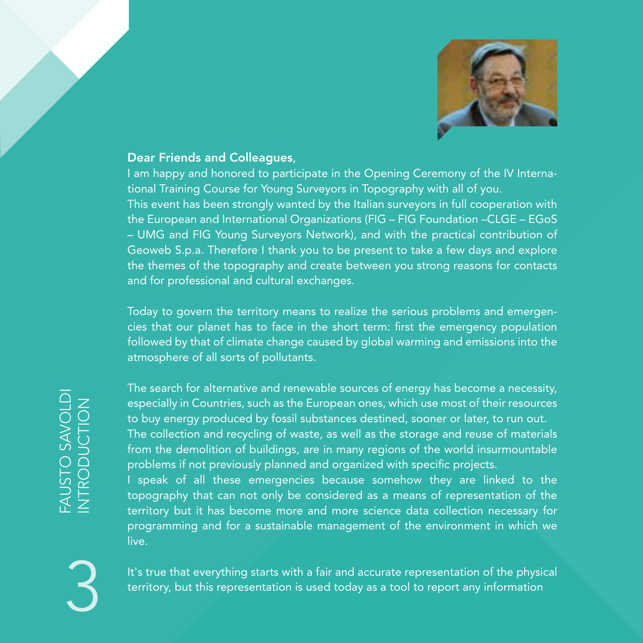

#### Dear Friends and Colleagues,

I am happy and honored to participate in the Opening Ceremony of the IV International Training Course for Young Surveyors in Topography with all of you.

This event has been strongly wanted by the Italian surveyors in full cooperation with the European and International Organizations (FIG – FIG Foundation –CLGE – EGoS – UMG and FIG Young Surveyors Network), and with the practical contribution of Geoweb S.p.a. Therefore I thank you to be present to take a few days and explore the themes of the topography and create between you strong reasons for contacts and for professional and cultural exchanges.

Today to govern the territory means to realize the serious problems and emergencies that our planet has to face in the short term: first the emergency population followed by that of climate change caused by global warming and emissions into the atmosphere of all sorts of pollutants.

3

The search for alternative and renewable sources of energy has become a necessity, especially in Countries, such as the European ones, which use most of their resources to buy energy produced by fossil substances destined, sooner or later, to run out. The collection and recycling of waste, as well as the storage and reuse of materials from the demolition of buildings, are in many regions of the world insurmountable problems if not previously planned and organized with specific projects. I speak of all these emergencies because somehow they are linked to the topography that can not only be considered as a means of representation of the territory but it has become more and more science data collection necessary for programming and for a sustainable management of the environment in which we

live.

It's true that everything starts with a fair and accurate representation of the physical territory, but this representation is used today as a tool to report any information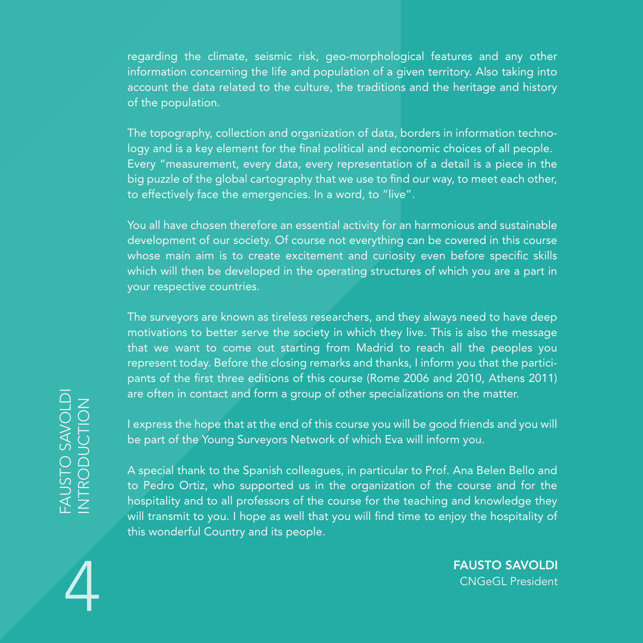regarding the climate, seismic risk, geo-morphological features and any other information concerning the life and population of a given territory. Also taking into account the data related to the culture, the traditions and the heritage and history of the population.

The topography, collection and organization of data, borders in information technology and is a key element for the final political and economic choices of all people. Every "measurement, every data, every representation of a detail is a piece in the big puzzle of the global cartography that we use to find our way, to meet each other, to effectively face the emergencies. In a word, to "live".

You all have chosen therefore an essential activity for an harmonious and sustainable development of our society. Of course not everything can be covered in this course whose main aim is to create excitement and curiosity even before specific skills which will then be developed in the operating structures of which you are a part in your respective countries.

The surveyors are known as tireless researchers, and they always need to have deep motivations to better serve the society in which they live. This is also the message that we want to come out starting from Madrid to reach all the peoples you represent today. Before the closing remarks and thanks, I inform you that the participants of the first three editions of this course (Rome 2006 and 2010, Athens 2011) are often in contact and form a group of other specializations on the matter.

I express the hope that at the end of this course you will be good friends and you will be part of the Young Surveyors Network of which Eva will inform you.

THE MUSTO SAVOLDI<br>
CONGER PROBUTE:<br>
THE MANGED PROBUTE:<br>
THE MANGED PROBUTE:<br>
CONGERN PROBUTE:<br>
CONGERN PROBUTE:<br>
CONGERN PROBUTE:<br>
A special thank to the Spanish colleagues, in particular to Prof. Ana Belen Bello and<br>
to A special thank to the Spanish colleagues, in particular to Prof. Ana Belen Bello and to Pedro Ortiz, who supported us in the organization of the course and for the hospitality and to all professors of the course for the teaching and knowledge they will transmit to you. I hope as well that you will find time to enjoy the hospitality of this wonderful Country and its people.

FAUSTO SAVOLDI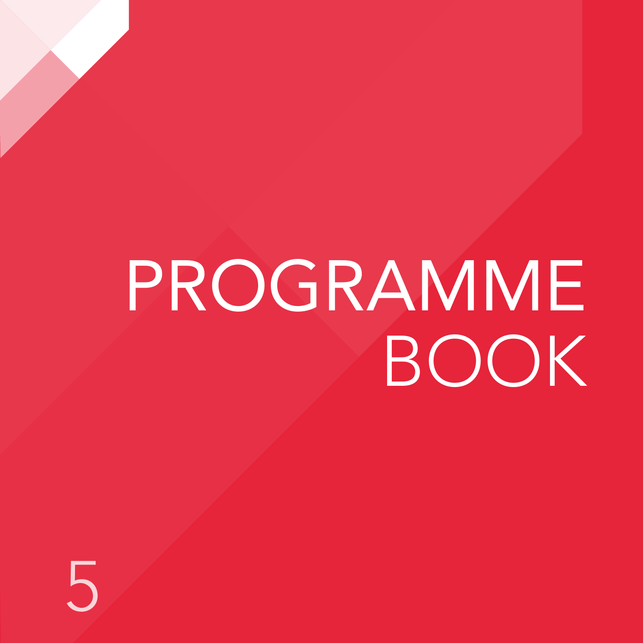# PROGRAMME BOOK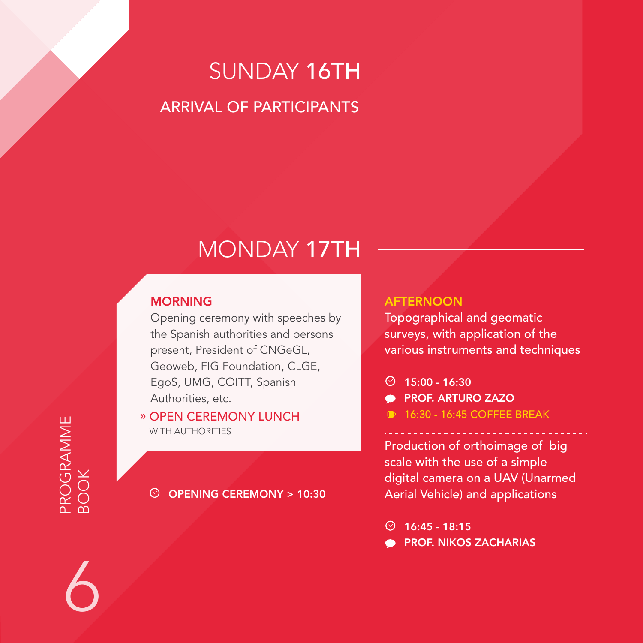## SUNDAY 16TH ARRIVAL OF PARTICIPANTS

## MONDAY 17TH

#### **MORNING**

Opening ceremony with speeches by the Spanish authorities and persons present, President of CNGeGL, Geoweb, FIG Foundation, CLGE, EgoS, UMG, COITT, Spanish Authorities, etc.

» OPEN CEREMONY LUNCH WITH AUTHORITIES

OPENING CEREMONY > 10:30

#### **AFTERNOON**

Topographical and geomatic surveys, with application of the various instruments and techniques

- $\circ$  15:00 16:30
- **PROF. ARTURO ZAZO**
- **16:30 16:45 COFFEE BREAK**

Production of orthoimage of big scale with the use of a simple digital camera on a UAV (Unarmed Aerial Vehicle) and applications

 $\odot$  16:45 - 18:15

PROF. NIKOS ZACHARIAS

## PROGRAMME PROGRAMME BOOK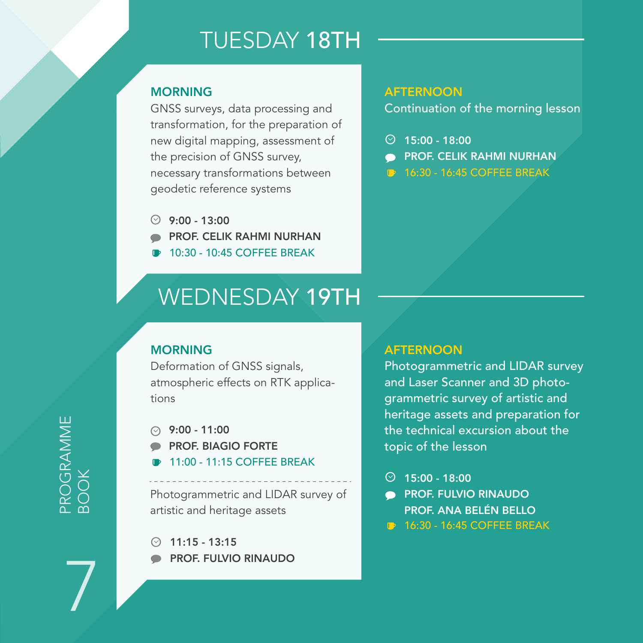## TUESDAY 18TH

#### **MORNING**

GNSS surveys, data processing and transformation, for the preparation of new digital mapping, assessment of the precision of GNSS survey, necessary transformations between geodetic reference systems

- $9:00 13:00$
- PROF. CELIK RAHMI NURHAN
- 10:30 10:45 COFFEE BREAK

## WEDNESDAY 19TH

#### **MORNING**

Deformation of GNSS signals, atmospheric effects on RTK applications

 $9:00 - 11:00$ 

- PROF. BIAGIO FORTE
- 11:00 11:15 COFFEE BREAK

Photogrammetric and LIDAR survey of artistic and heritage assets

11:15 - 13:15 PROF. FULVIO RINAUDO

#### **AFTERNOON**

Continuation of the morning lesson

- $\circ$  15:00 18:00
- PROF. CELIK RAHMI NURHAN
- **16:30 16:45 COFFEE BREAK**

#### **AFTERNOON**

Photogrammetric and LIDAR survey and Laser Scanner and 3D photogrammetric survey of artistic and heritage assets and preparation for the technical excursion about the topic of the lesson

- $\circ$  15:00 18:00
- PROF. FULVIO RINAUDO  $\bullet$ PROF. ANA BELÉN BELLO
- **16:30 16:45 COFFEE BREAK**

PROGRAMME PROGRAMME<br>BOOK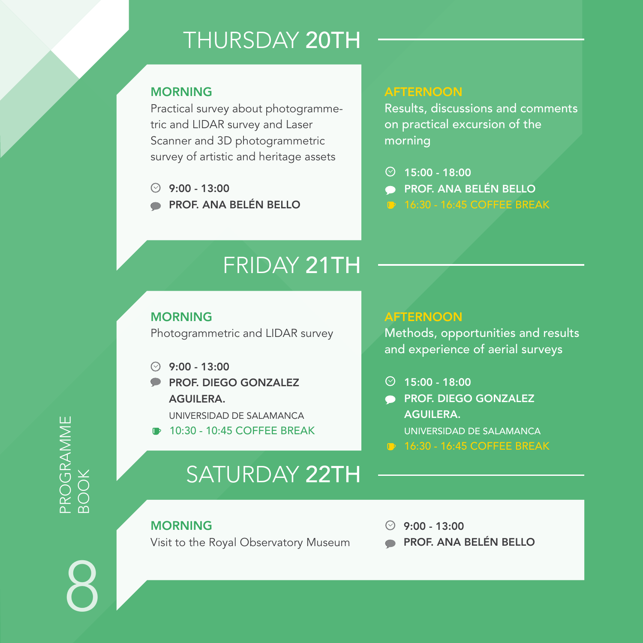## THURSDAY 20TH

#### **MORNING**

Practical survey about photogrammetric and LIDAR survey and Laser Scanner and 3D photogrammetric survey of artistic and heritage assets

- $9:00 13:00$
- PROF. ANA BELÉN BELLO

#### **AFTERNOON**

Results, discussions and comments on practical excursion of the morning

- $\circ$  15:00 18:00 PROF. ANA BELÉN BELLO
- 

## FRIDAY 21TH

#### MORNING

Photogrammetric and LIDAR survey

- $9:00 13:00$
- **PROF. DIEGO GONZALEZ** AGUILERA.

UNIVERSIDAD DE SALAMANCA

10:30 - 10:45 COFFEE BREAK

## SATURDAY 22TH

#### MORNING

Visit to the Royal Observatory Museum

 $9:00 - 13:00$ 

**AFTERNOON** 

 $\odot$  15:00 - 18:00

AGUILERA.

Methods, opportunities and experience of aerial

PROF. DIEGO GONZA

UNIVERSIDAD DE SALAMANTE **16:30 - 16:45 COFFEE BREAKING** 

PROF. ANA BELÉN BEI

## PROGRAMME PROGRAMME<br>BOOK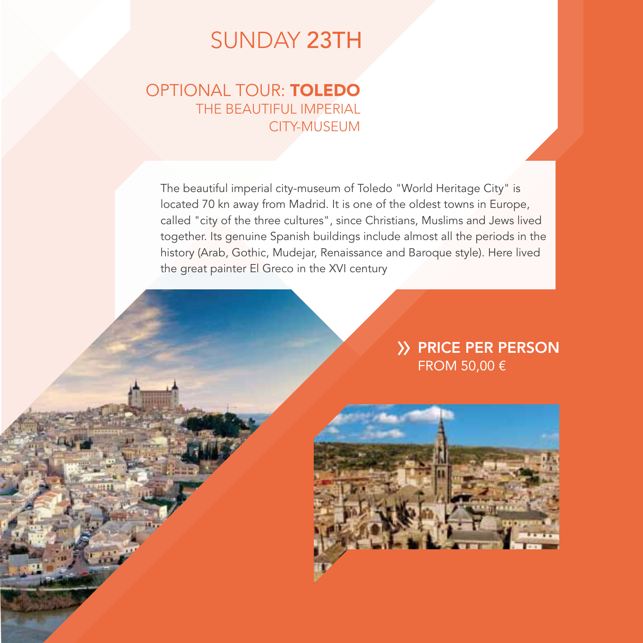### SUNDAY 23TH

#### OPTIONAL TOUR: TOLEDO THE BEAUTIFUL IMPERIAL CITY-MUSEUM

The beautiful imperial city-museum of Toledo "World Heritage City" is located 70 kn away from Madrid. It is one of the oldest towns in Europe, called "city of the three cultures", since Christians, Muslims and Jews lived together. Its genuine Spanish buildings include almost all the periods in the history (Arab, Gothic, Mudejar, Renaissance and Baroque style). Here lived the great painter El Greco in the XVI century

#### **>> PRICE PER PERSON** FROM 50,00 €

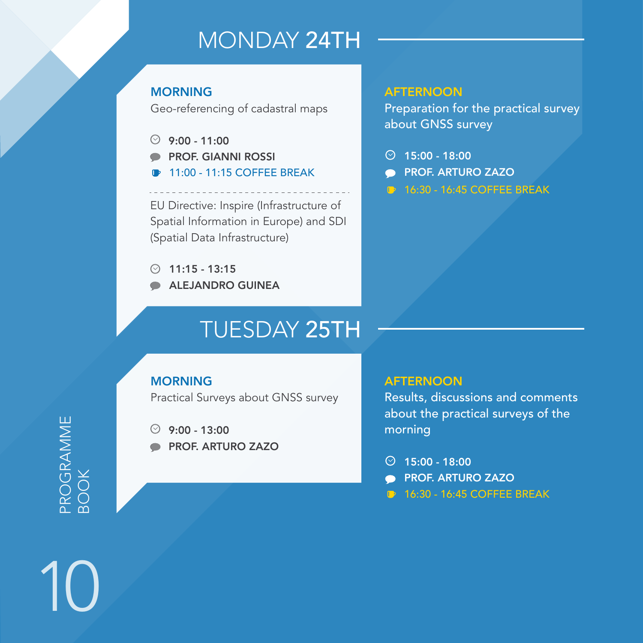## MONDAY 24TH

#### **MORNING**

Geo-referencing of cadastral maps

- $9.00 11.00$
- PROF. GIANNI ROSSI
- 11:00 11:15 COFFEE BREAK

EU Directive: Inspire (Infrastructure of Spatial Information in Europe) and SDI (Spatial Data Infrastructure)

- $\odot$  11:15 13:15
- ALEJANDRO GUINEA

## TUESDAY 25TH

#### **MORNING**

Practical Surveys about GNSS survey

 $9:00 - 13:00$ 

PROF. ARTURO ZAZO

#### **AFTERNOON**

Preparation for the practical survey about GNSS survey

- $\odot$  15:00 18:00
- **PROF. ARTURO ZAZO**
- **16:30 16:45 COFFEE BREAK**

#### **AFTERNOON**

Results, discussions and comments about the practical surveys of the morning

- $\odot$  15:00 18:00
- **PROF. ARTURO ZAZO**
- **16:30 16:45 COFFEE BREAK**

PROGRAMME PROGRAMME<br>BOOK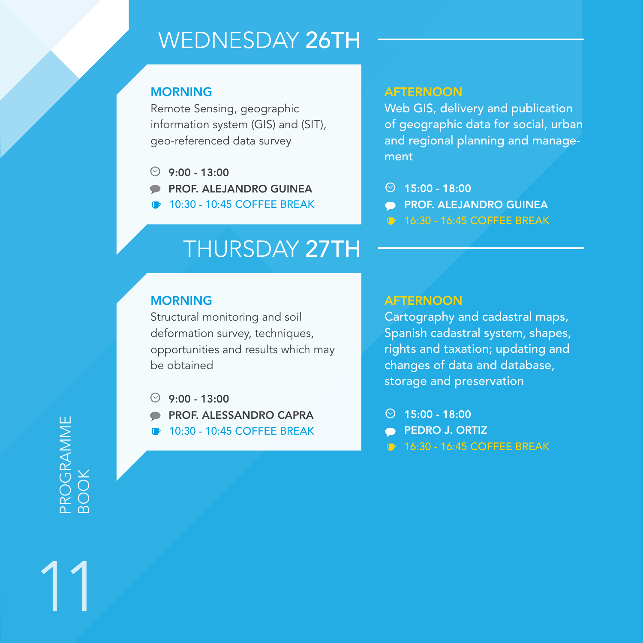## WEDNESDAY 26TH

#### **MORNING**

Remote Sensing, geographic information system (GIS) and (SIT), geo-referenced data survey

- $9:00 13:00$
- PROF. ALEJANDRO GUINEA
- 10:30 10:45 COFFEE BREAK

#### **AFTERNOON**

Web GIS, delivery and publication of geographic data for social, urban and regional planning and management

- $915:00 18:00$
- PROF. ALEJANDRO GUINEA  $\blacksquare$
- **16:30 16:45 COFFEE BREAK**

## THURSDAY 27TH

#### **MORNING**

Structural monitoring and soil deformation survey, techniques, opportunities and results which may be obtained

- ⊙  $9:00 - 13:00$
- PROF. ALESSANDRO CAPRA
- 10:30 10:45 COFFEE BREAK

#### AFTERNOON

Cartography and cadastral maps, Spanish cadastral system, shapes, rights and taxation; updating and changes of data and database, storage and preservation

- $0$  15:00 18:00
- PEDRO J. ORTIZ
- 16:30 16:45 COFFEE BREAK

PROGRAMME PROGRAMME BOOK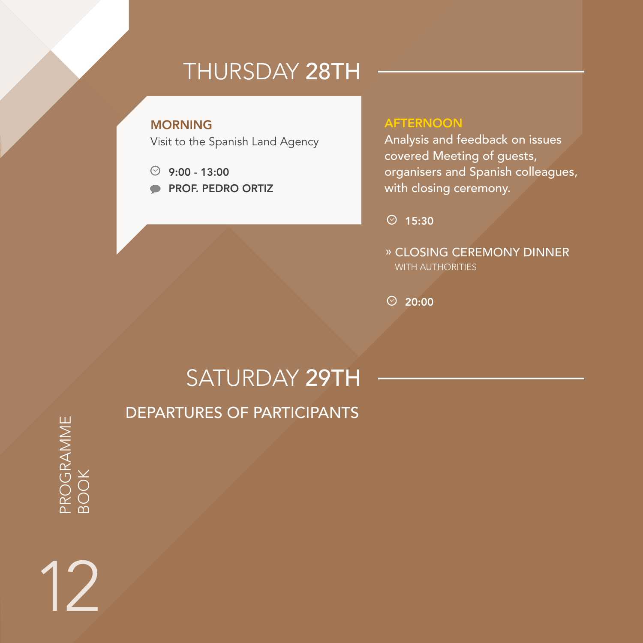## THURSDAY 28TH

#### MORNING

Visit to the Spanish Land Agency

- $9:00 13:00$
- PROF. PEDRO ORTIZ

#### **AFTERNOON**

Analysis and feedback on issues covered Meeting of guests, organisers and Spanish colleagues, with closing ceremony.

 $\odot$  15:30

» CLOSING CEREMONY DINNER WITH AUTHORITIES

 $\odot$  20:00

## SATURDAY 29TH DEPARTURES OF PARTICIPANTS

PROGRAMME PROGRAMME<br>BOOK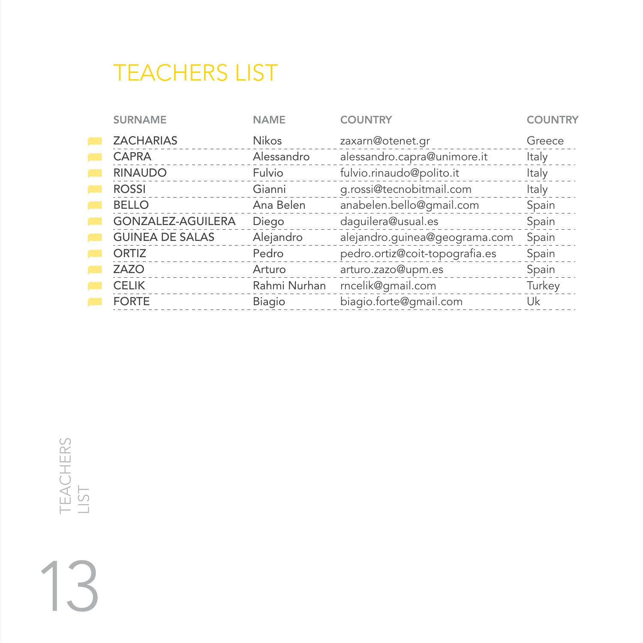## TEACHERS LIST

| <b>SURNAME</b>         | <b>NAME</b>  | <b>COUNTRY</b>                 | <b>COUNTRY</b> |
|------------------------|--------------|--------------------------------|----------------|
| <b>ZACHARIAS</b>       | <b>Nikos</b> | zaxarn@otenet.gr               | Greece         |
| CAPRA                  | Alessandro   | alessandro.capra@unimore.it    | Italy          |
| <b>RINAUDO</b>         | Fulvio       | fulvio.rinaudo@polito.it       | Italy          |
| <b>ROSSI</b>           | Gianni       | g.rossi@tecnobitmail.com       | Italy          |
| <b>BELLO</b>           | Ana Belen    | anabelen.bello@gmail.com       | Spain          |
| GONZALEZ-AGUILERA      | Diego        | daquilera@usual.es             | Spain          |
| <b>GUINEA DE SALAS</b> | Alejandro    | alejandro.guinea@geograma.com  | Spain          |
| ORTIZ                  | Pedro        | pedro.ortiz@coit-topografia.es | Spain          |
| ZAZO                   | Arturo       | arturo.zazo@upm.es             | Spain          |
| <b>CELIK</b>           | Rahmi Nurhan | rncelik@gmail.com              | Turkey         |
| <b>FORTE</b>           | Biagio       | biagio.forte@gmail.com         | Uk             |
|                        |              |                                |                |

TEACHERS TEACHERS<br>LIST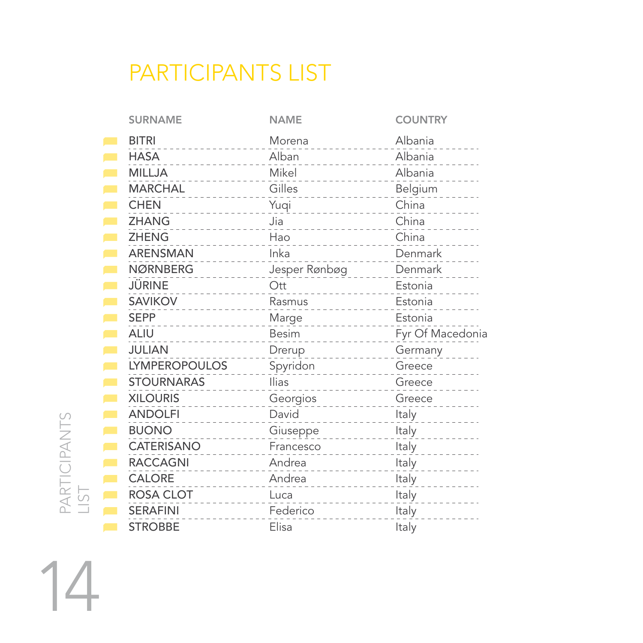## PARTICIPANTS LIST

| <b>SURNAME</b>                   | <b>NAME</b>                                                                              | <b>COUNTRY</b>                   |
|----------------------------------|------------------------------------------------------------------------------------------|----------------------------------|
| <b>BITRI</b><br>-------          | Morena                                                                                   | Albania                          |
| <b>HASA</b><br><u>.</u>          | Alban<br>$\mathcal{L} = \mathcal{L} \times \mathcal{L} = \mathcal{L} \times \mathcal{L}$ | Albania                          |
| <b>MILLJA</b><br>.               | Mikel<br>.                                                                               | Albania                          |
| <b>MARCHAL</b><br>$\sim$         | Gilles<br>___________                                                                    | Belgium                          |
| <b>CHEN</b><br>--------          | Yuqi<br>.                                                                                | China                            |
| ZHANG<br>.                       | Jia<br><u>.</u>                                                                          | China                            |
| <b>ZHENG</b>                     | Hao                                                                                      | China                            |
| ARENSMAN                         | Inka                                                                                     | Denmark                          |
| NØRNBERG                         | Jesper Rønbøg                                                                            | Denmark                          |
| JÜRINE<br>$- - - - - -$          | Ott<br>.                                                                                 | Estonia                          |
| SAVIKOV<br>.                     | Rasmus<br><u>.</u>                                                                       | Estonia                          |
| <b>SEPP</b><br>----------        | Marge<br>.                                                                               | Estonia                          |
| <b>ALIU</b>                      | Besim<br>.                                                                               | Fyr Of Macedonia                 |
| JULIAN                           | Drerup                                                                                   | Germany                          |
| <b>LYMPEROPOULOS</b>             | Spyridon                                                                                 | Greece                           |
|                                  |                                                                                          |                                  |
| <b>STOURNARAS</b>                | <b>Ilias</b><br>$- - - - - -$                                                            | Greece                           |
| <b>XILOURIS</b><br><u>Saadad</u> | Georgios<br><b>Contractor</b>                                                            | Greece                           |
| <b>ANDOLFI</b><br>.              | David                                                                                    | Italy                            |
| <b>BUONO</b>                     | Giuseppe                                                                                 | Italy                            |
| CATERISANO<br>.                  | Francesco<br>$\sim$ 100 $\sim$ 100 $\sim$                                                | $\sim$ 2000 $\sim$<br>Italy<br>. |
| <b>RACCAGNI</b>                  | Andrea<br><u>Socialist</u>                                                               | Italy<br><u>.</u>                |
| CALORE<br>.                      | Andrea<br>.                                                                              | Italy                            |
| <b>ROSA CLOT</b>                 | Luca                                                                                     | Italy                            |
| <b>SERAFINI</b>                  | Federico                                                                                 | Italy                            |

14

PARTICIPANTS PARTICIPANTS<br>LIST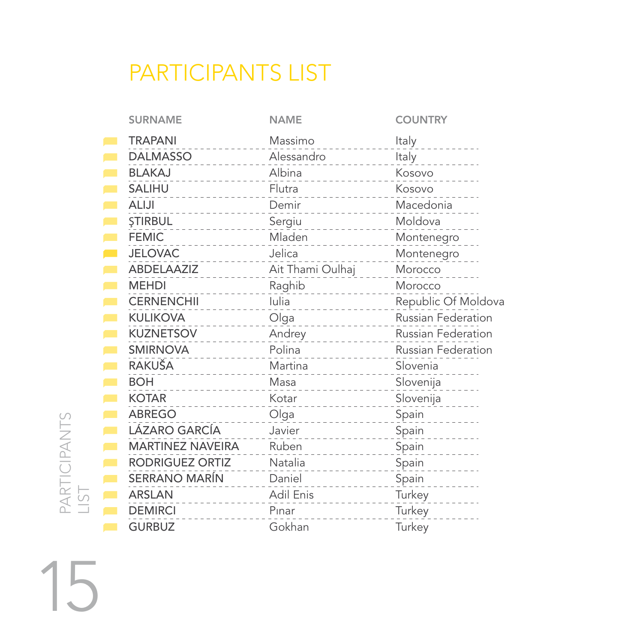## PARTICIPANTS LIST

| <b>SURNAME</b>                                                                                                                                                                                                                                                             | <b>NAME</b>                                                                                               | <b>COUNTRY</b>                       |
|----------------------------------------------------------------------------------------------------------------------------------------------------------------------------------------------------------------------------------------------------------------------------|-----------------------------------------------------------------------------------------------------------|--------------------------------------|
| <b>TRAPANI</b><br>.                                                                                                                                                                                                                                                        | Massimo                                                                                                   | Italy                                |
| DALMASSO Alessandro Italy                                                                                                                                                                                                                                                  |                                                                                                           |                                      |
| <b>BLAKAJ</b><br>.                                                                                                                                                                                                                                                         | Albina<br>------------                                                                                    | Kosovo                               |
| SALIHU                                                                                                                                                                                                                                                                     | Flutra Kosovo                                                                                             |                                      |
| <b>ALIJI</b><br>.                                                                                                                                                                                                                                                          | Demir<br>-----------------------                                                                          | Macedonia                            |
| Sergiu Moldova Moldova Sergiu Moldova                                                                                                                                                                                                                                      |                                                                                                           |                                      |
| <b>FEMIC</b>                                                                                                                                                                                                                                                               |                                                                                                           |                                      |
| JELOVAC Jelica                                                                                                                                                                                                                                                             |                                                                                                           | Montenegro                           |
| ABDELAAZIZ<br>ABDELAAZIZ<br>ABDELAAZIZ<br>ABDELAAZIZ                                                                                                                                                                                                                       |                                                                                                           |                                      |
| <b>MEHDI</b>                                                                                                                                                                                                                                                               |                                                                                                           |                                      |
|                                                                                                                                                                                                                                                                            |                                                                                                           | CERNENCHII lulia Republic Of Moldova |
| <b>KULIKOVA</b><br>.                                                                                                                                                                                                                                                       |                                                                                                           |                                      |
| KUZNETSOV Andrey Russian Federation                                                                                                                                                                                                                                        |                                                                                                           |                                      |
| SMIRNOVA<br>STRINGVA<br>STRINGVA<br>STRINGVA<br>STRINGVA<br>STRINGVA<br>STRINGVA<br>STRINGVA<br>STRINGVA<br>STRINGVA<br>STRINGVA<br>STRINGVA<br>STRINGVA<br>STRINGVA<br>STRINGVA<br>STRINGVA<br>STRINGVA<br>STRINGVA<br>STRINGVA<br>STRINGVA<br>STRINGVA<br>STRINGVA<br>ST |                                                                                                           |                                      |
| RAKUŠA<br>.                                                                                                                                                                                                                                                                | Martina Slovenia                                                                                          |                                      |
| <b>BOH</b><br>--------------                                                                                                                                                                                                                                               | Masa 2008 - 2010 - 2021 - 2022 - 2022 - 2022 - 2022 - 2022 - 2022 - 2022 - 2022 - 2022 - 2022 - 2022 - 20 | Slovenija                            |
| <b>KOTAR</b><br>.                                                                                                                                                                                                                                                          |                                                                                                           | Slovenija                            |
| ABREGO                                                                                                                                                                                                                                                                     | Olga ________________                                                                                     | Spain                                |
| LÁZARO GARCÍA                                                                                                                                                                                                                                                              |                                                                                                           | Spain                                |
| MARTINEZ NAVEIRA Ruben                                                                                                                                                                                                                                                     | .                                                                                                         | Spain                                |
| RODRIGUEZ ORTIZ Natalia                                                                                                                                                                                                                                                    |                                                                                                           | Spain                                |
| SERRANO MARÍN Daniel                                                                                                                                                                                                                                                       |                                                                                                           | Spain                                |
| ARSLAN                                                                                                                                                                                                                                                                     | Adil Enis                                                                                                 | Turkey<br>Turkey                     |
| <b>DEMIRCI</b>                                                                                                                                                                                                                                                             | Pinar<br>.                                                                                                | Turkey_______                        |
| <b>GURBUZ</b>                                                                                                                                                                                                                                                              | Gokhan                                                                                                    | Turkey                               |

15

PARTICIPANTS PARTICIPANTS<br>LIST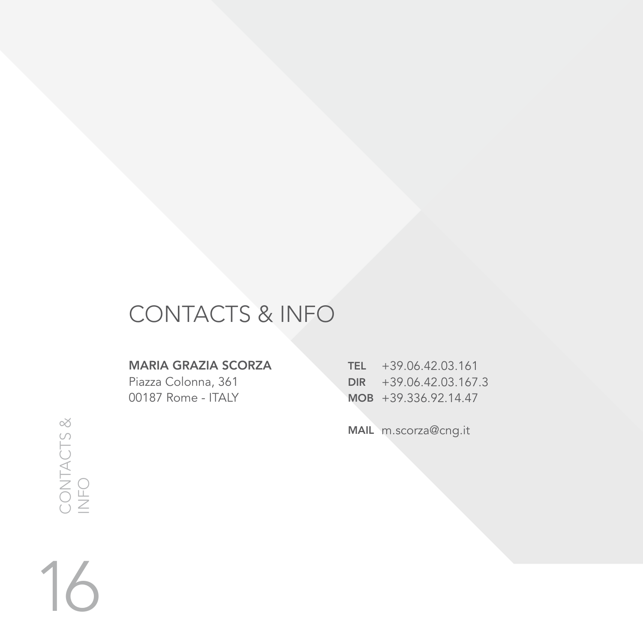## CONTACTS & INFO

#### MARIA GRAZIA SCORZA

Piazza Colonna, 361 00187 Rome - ITALY

TEL +39.06.42.03.161 DIR MOB +39.336.92.14.47 +39.06.42.03.167.3

MAIL m.scorza@cng.it

CONTACTS & CONTACTS &<br>INFO